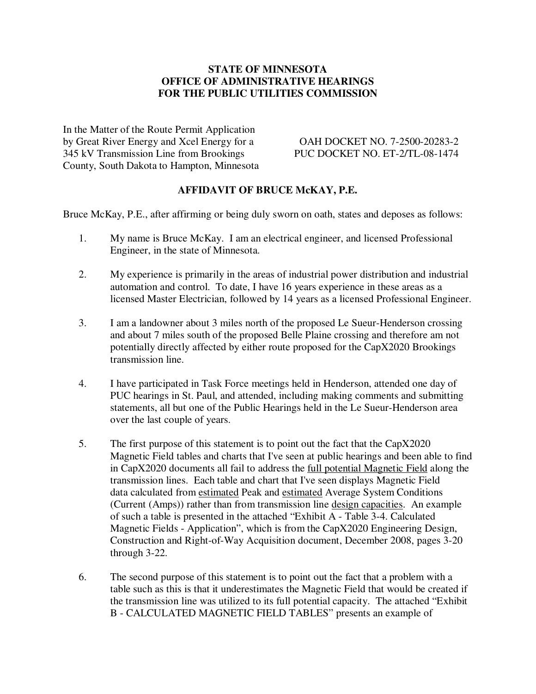### **STATE OF MINNESOTA OFFICE OF ADMINISTRATIVE HEARINGS FOR THE PUBLIC UTILITIES COMMISSION**

In the Matter of the Route Permit Application by Great River Energy and Xcel Energy for a OAH DOCKET NO. 7-2500-20283-2 345 kV Transmission Line from Brookings PUC DOCKET NO. ET-2/TL-08-1474 County, South Dakota to Hampton, Minnesota

#### **AFFIDAVIT OF BRUCE McKAY, P.E.**

Bruce McKay, P.E., after affirming or being duly sworn on oath, states and deposes as follows:

- 1. My name is Bruce McKay. I am an electrical engineer, and licensed Professional Engineer, in the state of Minnesota.
- 2. My experience is primarily in the areas of industrial power distribution and industrial automation and control. To date, I have 16 years experience in these areas as a licensed Master Electrician, followed by 14 years as a licensed Professional Engineer.
- 3. I am a landowner about 3 miles north of the proposed Le Sueur-Henderson crossing and about 7 miles south of the proposed Belle Plaine crossing and therefore am not potentially directly affected by either route proposed for the CapX2020 Brookings transmission line.
- 4. I have participated in Task Force meetings held in Henderson, attended one day of PUC hearings in St. Paul, and attended, including making comments and submitting statements, all but one of the Public Hearings held in the Le Sueur-Henderson area over the last couple of years.
- 5. The first purpose of this statement is to point out the fact that the CapX2020 Magnetic Field tables and charts that I've seen at public hearings and been able to find in CapX2020 documents all fail to address the full potential Magnetic Field along the transmission lines. Each table and chart that I've seen displays Magnetic Field data calculated from estimated Peak and estimated Average System Conditions (Current (Amps)) rather than from transmission line design capacities. An example of such a table is presented in the attached "Exhibit A - Table 3-4. Calculated Magnetic Fields - Application", which is from the CapX2020 Engineering Design, Construction and Right-of-Way Acquisition document, December 2008, pages 3-20 through 3-22.
- 6. The second purpose of this statement is to point out the fact that a problem with a table such as this is that it underestimates the Magnetic Field that would be created if the transmission line was utilized to its full potential capacity. The attached "Exhibit B - CALCULATED MAGNETIC FIELD TABLES" presents an example of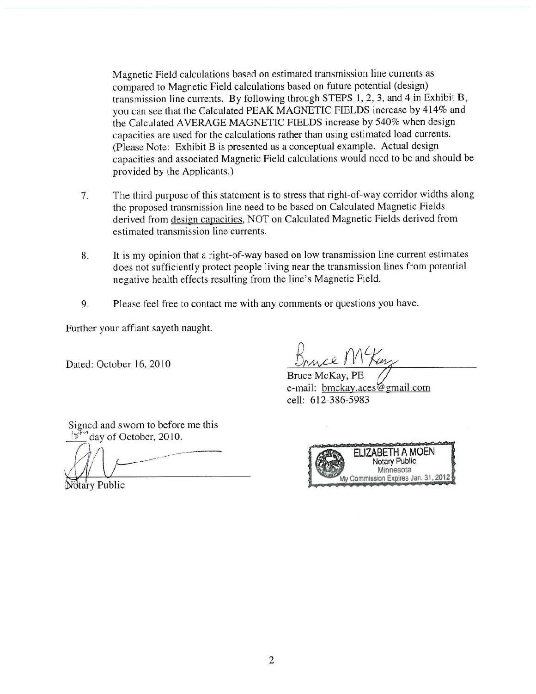Magnetic Field calculations based on estimated transmission line currents as compared to Magnetic Field calculations based on future potential (design) transmission line currents. By following through STEPS 1, 2, 3, and 4 in Exhibit B, you can see that the Calculated PEAK MAGNETIC FIELDS increase by 414% and the Calculated AVERAGE MAGNETIC FIELDS increase by 540% when design capacities are used for the calculations rather than using estimated load currents. (Please Note: Exhibit B is presented as a conceptual example. Actual design capacities and associated Magnetic Field calculations would need to be and should be provided by the Applicants.)

- The third purpose of this statement is to stress that right-of-way corridor widths along 7. the proposed transmission line need to be based on Calculated Magnetic Fields derived from design capacities, NOT on Calculated Magnetic Fields derived from estimated transmission line currents.
- It is my opinion that a right-of-way based on low transmission line current estimates 8. does not sufficiently protect people living near the transmission lines from potential negative health effects resulting from the line's Magnetic Field.
- 9. Please feel free to contact me with any comments or questions you have.

Further your affiant sayeth naught.

Dated: October 16, 2010

nce M Kun

Bruce McKay, PE e-mail: bmckay.aces@gmail.com cell: 612-386-5983

Signed and sworn to before me this day of October, 2010.

Notary Public

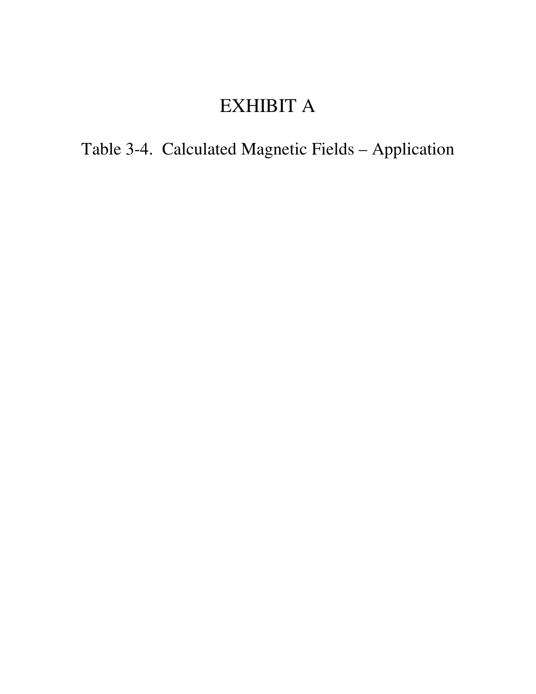### EXHIBIT A

Table 3-4. Calculated Magnetic Fields – Application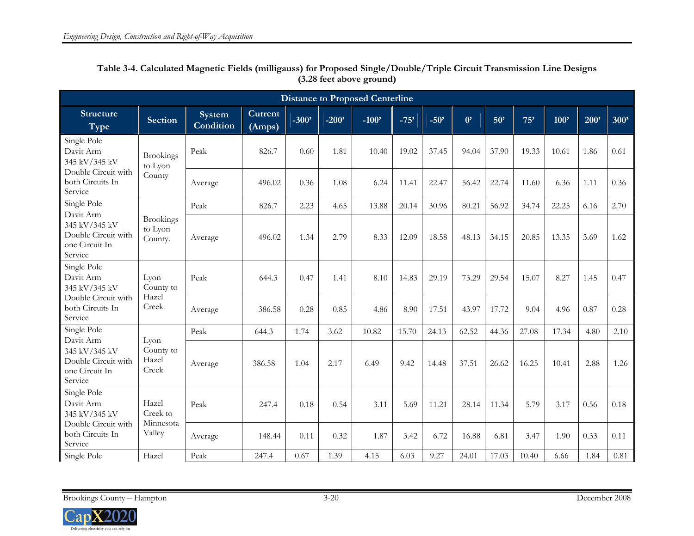|                                                                                |                                        |                            |                   |         |         | <b>Distance to Proposed Centerline</b> |        |        |             |       |       |       |      |            |
|--------------------------------------------------------------------------------|----------------------------------------|----------------------------|-------------------|---------|---------|----------------------------------------|--------|--------|-------------|-------|-------|-------|------|------------|
| <b>Structure</b><br>Type                                                       | <b>Section</b>                         | <b>System</b><br>Condition | Current<br>(Amps) | $-300'$ | $-200'$ | $-100'$                                | $-75'$ | $-50'$ | $0^{\circ}$ | 50'   | 75'   | 100'  | 200' | <b>300</b> |
| Single Pole<br>Davit Arm<br>345 kV/345 kV<br>Double Circuit with               | <b>Brookings</b><br>to Lyon            | Peak                       | 826.7             | 0.60    | 1.81    | 10.40                                  | 19.02  | 37.45  | 94.04       | 37.90 | 19.33 | 10.61 | 1.86 | 0.61       |
| both Circuits In<br>Service                                                    | County                                 | Average                    | 496.02            | 0.36    | 1.08    | 6.24                                   | 11.41  | 22.47  | 56.42       | 22.74 | 11.60 | 6.36  | 1.11 | 0.36       |
| Single Pole                                                                    |                                        | Peak                       | 826.7             | 2.23    | 4.65    | 13.88                                  | 20.14  | 30.96  | 80.21       | 56.92 | 34.74 | 22.25 | 6.16 | 2.70       |
| Davit Arm<br>345 kV/345 kV<br>Double Circuit with<br>one Circuit In<br>Service | <b>Brookings</b><br>to Lyon<br>County. | Average                    | 496.02            | 1.34    | 2.79    | 8.33                                   | 12.09  | 18.58  | 48.13       | 34.15 | 20.85 | 13.35 | 3.69 | 1.62       |
| Single Pole<br>Davit Arm<br>345 kV/345 kV                                      | $L$ von<br>County to                   | Peak                       | 644.3             | 0.47    | 1.41    | 8.10                                   | 14.83  | 29.19  | 73.29       | 29.54 | 15.07 | 8.27  | 1.45 | 0.47       |
| Double Circuit with<br>both Circuits In<br>Service                             | Hazel<br>Creek                         | Average                    | 386.58            | 0.28    | 0.85    | 4.86                                   | 8.90   | 17.51  | 43.97       | 17.72 | 9.04  | 4.96  | 0.87 | 0.28       |
| Single Pole                                                                    |                                        | Peak                       | 644.3             | 1.74    | 3.62    | 10.82                                  | 15.70  | 24.13  | 62.52       | 44.36 | 27.08 | 17.34 | 4.80 | 2.10       |
| Davit Arm<br>345 kV/345 kV<br>Double Circuit with<br>one Circuit In<br>Service | $L$ von<br>County to<br>Hazel<br>Creek | Average                    | 386.58            | 1.04    | 2.17    | 6.49                                   | 9.42   | 14.48  | 37.51       | 26.62 | 16.25 | 10.41 | 2.88 | 1.26       |
| Single Pole<br>Davit Arm<br>345 kV/345 kV                                      | Hazel<br>Creek to<br>Minnesota         | Peak                       | 247.4             | 0.18    | 0.54    | 3.11                                   | 5.69   | 11.21  | 28.14       | 11.34 | 5.79  | 3.17  | 0.56 | 0.18       |
| Double Circuit with<br>both Circuits In<br>Service                             | Valley                                 | Average                    | 148.44            | 0.11    | 0.32    | 1.87                                   | 3.42   | 6.72   | 16.88       | 6.81  | 3.47  | 1.90  | 0.33 | 0.11       |
| Single Pole                                                                    | Hazel                                  | Peak                       | 247.4             | 0.67    | 1.39    | 4.15                                   | 6.03   | 9.27   | 24.01       | 17.03 | 10.40 | 6.66  | 1.84 | 0.81       |

**Table 3-4. Calculated Magnetic Fields (milligauss) for Proposed Single/Double/Triple Circuit Transmission Line Designs (3.28 feet above ground)** 

Brookings County – Hampton 3-20 December 2008

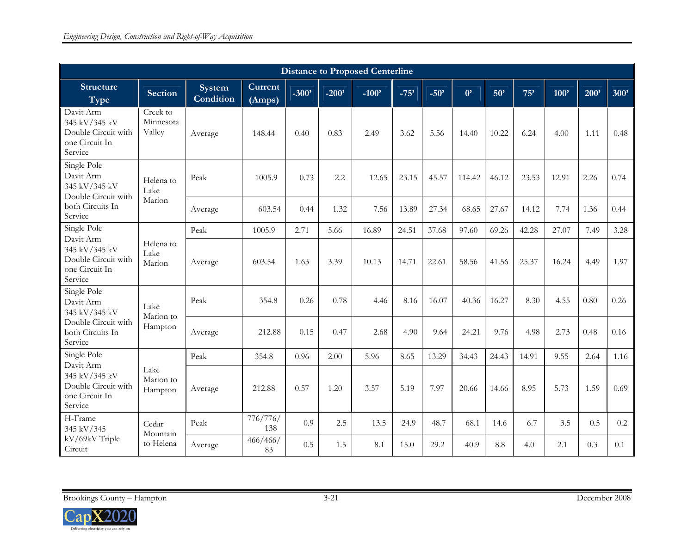|                                                                                |                                 |                            |                          |         |         | <b>Distance to Proposed Centerline</b> |        |        |             |       |       |       |      |      |
|--------------------------------------------------------------------------------|---------------------------------|----------------------------|--------------------------|---------|---------|----------------------------------------|--------|--------|-------------|-------|-------|-------|------|------|
| Structure<br>Type                                                              | <b>Section</b>                  | <b>System</b><br>Condition | <b>Current</b><br>(Amps) | $-300'$ | $-200'$ | $-100'$                                | $-75'$ | $-50'$ | $0^{\circ}$ | 50'   | 75'   | 100'  | 200' | 300' |
| Davit Arm<br>345 kV/345 kV<br>Double Circuit with<br>one Circuit In<br>Service | Creek to<br>Minnesota<br>Valley | Average                    | 148.44                   | 0.40    | 0.83    | 2.49                                   | 3.62   | 5.56   | 14.40       | 10.22 | 6.24  | 4.00  | 1.11 | 0.48 |
| Single Pole<br>Davit Arm<br>345 kV/345 kV<br>Double Circuit with               | Helena to<br>Lake               | Peak                       | 1005.9                   | 0.73    | 2.2     | 12.65                                  | 23.15  | 45.57  | 114.42      | 46.12 | 23.53 | 12.91 | 2.26 | 0.74 |
| both Circuits In<br>Service                                                    | Marion                          | Average                    | 603.54                   | 0.44    | 1.32    | 7.56                                   | 13.89  | 27.34  | 68.65       | 27.67 | 14.12 | 7.74  | 1.36 | 0.44 |
| Single Pole                                                                    |                                 | Peak                       | 1005.9                   | 2.71    | 5.66    | 16.89                                  | 24.51  | 37.68  | 97.60       | 69.26 | 42.28 | 27.07 | 7.49 | 3.28 |
| Davit Arm<br>345 kV/345 kV<br>Double Circuit with<br>one Circuit In<br>Service | Helena to<br>Lake<br>Marion     | Average                    | 603.54                   | 1.63    | 3.39    | 10.13                                  | 14.71  | 22.61  | 58.56       | 41.56 | 25.37 | 16.24 | 4.49 | 1.97 |
| Single Pole<br>Davit Arm<br>345 kV/345 kV                                      | Lake                            | Peak                       | 354.8                    | 0.26    | 0.78    | 4.46                                   | 8.16   | 16.07  | 40.36       | 16.27 | 8.30  | 4.55  | 0.80 | 0.26 |
| Double Circuit with<br>both Circuits In<br>Service                             | Marion to<br>Hampton            | Average                    | 212.88                   | 0.15    | 0.47    | 2.68                                   | 4.90   | 9.64   | 24.21       | 9.76  | 4.98  | 2.73  | 0.48 | 0.16 |
| Single Pole                                                                    |                                 | Peak                       | 354.8                    | 0.96    | 2.00    | 5.96                                   | 8.65   | 13.29  | 34.43       | 24.43 | 14.91 | 9.55  | 2.64 | 1.16 |
| Davit Arm<br>345 kV/345 kV<br>Double Circuit with<br>one Circuit In<br>Service | Lake<br>Marion to<br>Hampton    | Average                    | 212.88                   | 0.57    | 1.20    | 3.57                                   | 5.19   | 7.97   | 20.66       | 14.66 | 8.95  | 5.73  | 1.59 | 0.69 |
| H-Frame<br>345 kV/345                                                          | Cedar<br>Mountain               | Peak                       | 776/776/<br>138          | 0.9     | 2.5     | 13.5                                   | 24.9   | 48.7   | 68.1        | 14.6  | 6.7   | 3.5   | 0.5  | 0.2  |
| kV/69kV Triple<br>Circuit                                                      | to Helena                       | Average                    | 466/466/<br>83           | 0.5     | 1.5     | 8.1                                    | 15.0   | 29.2   | 40.9        | 8.8   | 4.0   | 2.1   | 0.3  | 0.1  |

Brookings County – Hampton 3-21 December 2008

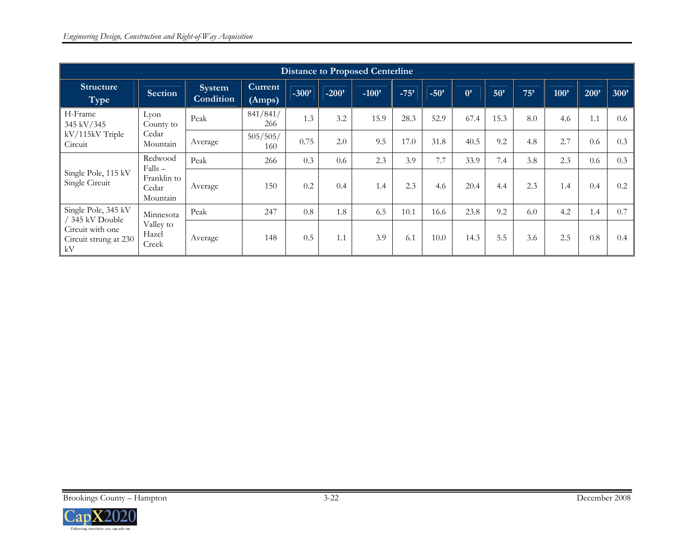|                                                 |                                  |                     |                          |         |         | <b>Distance to Proposed Centerline</b> |        |        |             |      |     |      |      |            |
|-------------------------------------------------|----------------------------------|---------------------|--------------------------|---------|---------|----------------------------------------|--------|--------|-------------|------|-----|------|------|------------|
| <b>Structure</b><br>Type                        | Section                          | System<br>Condition | <b>Current</b><br>(Amps) | $-300'$ | $-200'$ | $-100'$                                | $-75'$ | $-50'$ | $0^{\circ}$ | 50'  | 75' | 100' | 200' | <b>300</b> |
| H-Frame<br>345 kV/345                           | Lvon<br>County to                | Peak                | 841/841/<br>266          | 1.3     | 3.2     | 15.9                                   | 28.3   | 52.9   | 67.4        | 15.3 | 8.0 | 4.6  | 1.1  | 0.6        |
| kV/115kV Triple<br>Circuit                      | Cedar<br>Mountain                | Average             | 505/505/<br>160          | 0.75    | 2.0     | 9.5                                    | 17.0   | 31.8   | 40.5        | 9.2  | 4.8 | 2.7  | 0.6  | 0.3        |
|                                                 | Redwood<br>$Falls -$             | Peak                | 266                      | 0.3     | 0.6     | 2.3                                    | 3.9    | 7.7    | 33.9        | 7.4  | 3.8 | 2.3  | 0.6  | 0.3        |
| Single Pole, 115 kV<br>Single Circuit           | Franklin to<br>Cedar<br>Mountain | Average             | 150                      | 0.2     | 0.4     | 1.4                                    | 2.3    | 4.6    | 20.4        | 4.4  | 2.3 | 1.4  | 0.4  | 0.2        |
| Single Pole, 345 kV<br>345 kV Double            | Minnesota                        | Peak                | 247                      | 0.8     | 1.8     | 6.5                                    | 10.1   | 16.6   | 23.8        | 9.2  | 6.0 | 4.2  | 1.4  | 0.7        |
| Circuit with one<br>Circuit strung at 230<br>kV | Valley to<br>Hazel<br>Creek      | Average             | 148                      | 0.5     | 1.1     | 3.9                                    | 6.1    | 10.0   | 14.3        | 5.5  | 3.6 | 2.5  | 0.8  | 0.4        |

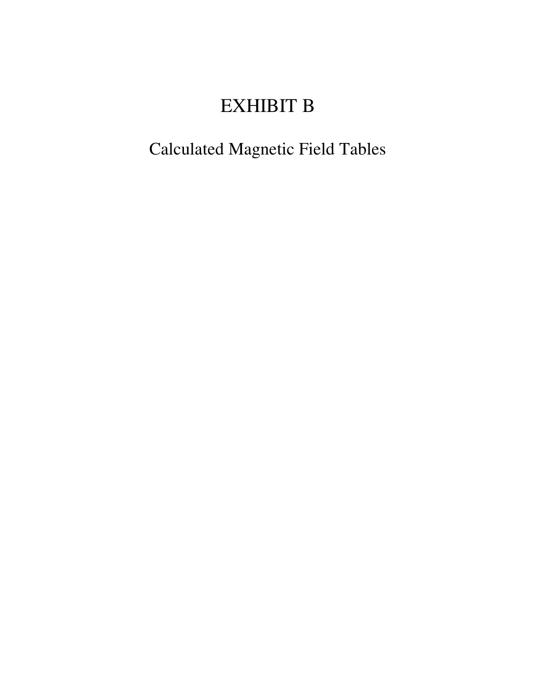# EXHIBIT B

## Calculated Magnetic Field Tables